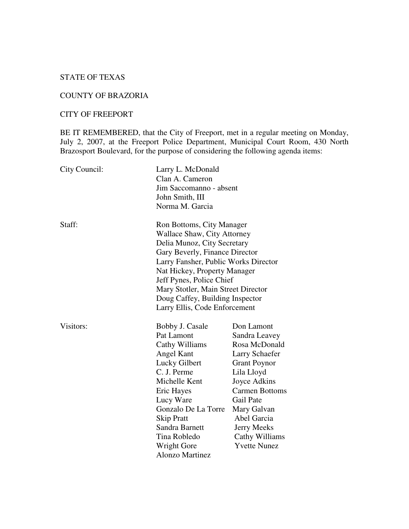# STATE OF TEXAS

### COUNTY OF BRAZORIA

## CITY OF FREEPORT

BE IT REMEMBERED, that the City of Freeport, met in a regular meeting on Monday, July 2, 2007, at the Freeport Police Department, Municipal Court Room, 430 North Brazosport Boulevard, for the purpose of considering the following agenda items:

| City Council: | Larry L. McDonald<br>Clan A. Cameron<br>Jim Saccomanno - absent<br>John Smith, III<br>Norma M. Garcia                                                                                                                                                                                                                                   |                                                                                                                                                                                                                                                        |
|---------------|-----------------------------------------------------------------------------------------------------------------------------------------------------------------------------------------------------------------------------------------------------------------------------------------------------------------------------------------|--------------------------------------------------------------------------------------------------------------------------------------------------------------------------------------------------------------------------------------------------------|
| Staff:        | Ron Bottoms, City Manager<br>Wallace Shaw, City Attorney<br>Delia Munoz, City Secretary<br>Gary Beverly, Finance Director<br>Larry Fansher, Public Works Director<br>Nat Hickey, Property Manager<br>Jeff Pynes, Police Chief<br>Mary Stotler, Main Street Director<br>Doug Caffey, Building Inspector<br>Larry Ellis, Code Enforcement |                                                                                                                                                                                                                                                        |
| Visitors:     | Bobby J. Casale<br>Pat Lamont<br>Cathy Williams<br>Angel Kant<br>Lucky Gilbert<br>C. J. Perme<br>Michelle Kent<br>Eric Hayes<br>Lucy Ware<br>Gonzalo De La Torre<br><b>Skip Pratt</b><br>Sandra Barnett<br>Tina Robledo<br>Wright Gore<br><b>Alonzo Martinez</b>                                                                        | Don Lamont<br>Sandra Leavey<br>Rosa McDonald<br><b>Larry Schaefer</b><br><b>Grant Poynor</b><br>Lila Lloyd<br>Joyce Adkins<br><b>Carmen Bottoms</b><br>Gail Pate<br>Mary Galvan<br>Abel Garcia<br>Jerry Meeks<br>Cathy Williams<br><b>Yvette Nunez</b> |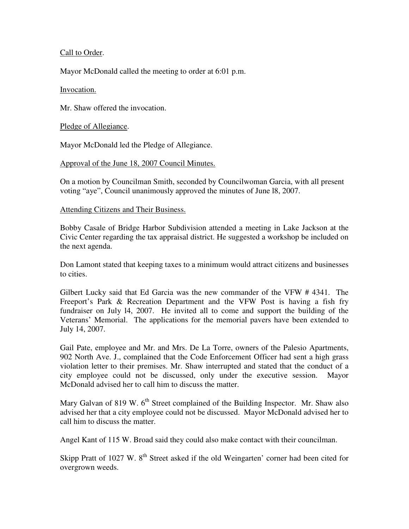## Call to Order.

Mayor McDonald called the meeting to order at 6:01 p.m.

### Invocation.

Mr. Shaw offered the invocation.

Pledge of Allegiance.

Mayor McDonald led the Pledge of Allegiance.

Approval of the June 18, 2007 Council Minutes.

On a motion by Councilman Smith, seconded by Councilwoman Garcia, with all present voting "aye", Council unanimously approved the minutes of June l8, 2007.

### Attending Citizens and Their Business.

Bobby Casale of Bridge Harbor Subdivision attended a meeting in Lake Jackson at the Civic Center regarding the tax appraisal district. He suggested a workshop be included on the next agenda.

Don Lamont stated that keeping taxes to a minimum would attract citizens and businesses to cities.

Gilbert Lucky said that Ed Garcia was the new commander of the VFW # 4341. The Freeport's Park & Recreation Department and the VFW Post is having a fish fry fundraiser on July l4, 2007. He invited all to come and support the building of the Veterans' Memorial. The applications for the memorial pavers have been extended to July 14, 2007.

Gail Pate, employee and Mr. and Mrs. De La Torre, owners of the Palesio Apartments, 902 North Ave. J., complained that the Code Enforcement Officer had sent a high grass violation letter to their premises. Mr. Shaw interrupted and stated that the conduct of a city employee could not be discussed, only under the executive session. Mayor McDonald advised her to call him to discuss the matter.

Mary Galvan of 819 W. 6<sup>th</sup> Street complained of the Building Inspector. Mr. Shaw also advised her that a city employee could not be discussed. Mayor McDonald advised her to call him to discuss the matter.

Angel Kant of 115 W. Broad said they could also make contact with their councilman.

Skipp Pratt of 1027 W. 8<sup>th</sup> Street asked if the old Weingarten' corner had been cited for overgrown weeds.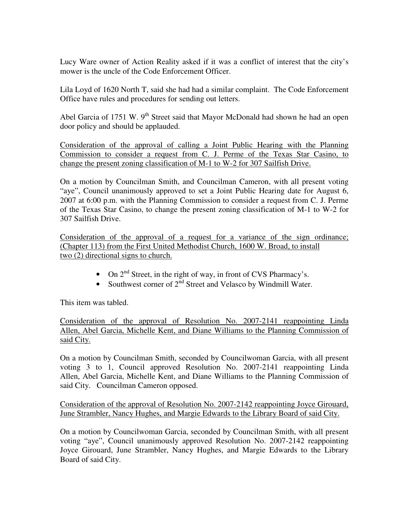Lucy Ware owner of Action Reality asked if it was a conflict of interest that the city's mower is the uncle of the Code Enforcement Officer.

Lila Loyd of 1620 North T, said she had had a similar complaint. The Code Enforcement Office have rules and procedures for sending out letters.

Abel Garcia of 1751 W. 9<sup>th</sup> Street said that Mayor McDonald had shown he had an open door policy and should be applauded.

Consideration of the approval of calling a Joint Public Hearing with the Planning Commission to consider a request from C. J. Perme of the Texas Star Casino, to change the present zoning classification of M-1 to W-2 for 307 Sailfish Drive.

On a motion by Councilman Smith, and Councilman Cameron, with all present voting "aye", Council unanimously approved to set a Joint Public Hearing date for August 6, 2007 at 6:00 p.m. with the Planning Commission to consider a request from C. J. Perme of the Texas Star Casino, to change the present zoning classification of M-1 to W-2 for 307 Sailfish Drive.

Consideration of the approval of a request for a variance of the sign ordinance; (Chapter 113) from the First United Methodist Church, 1600 W. Broad, to install two (2) directional signs to church.

- On  $2<sup>nd</sup>$  Street, in the right of way, in front of CVS Pharmacy's.
- Southwest corner of  $2<sup>nd</sup>$  Street and Velasco by Windmill Water.

This item was tabled.

Consideration of the approval of Resolution No. 2007-2141 reappointing Linda Allen, Abel Garcia, Michelle Kent, and Diane Williams to the Planning Commission of said City.

On a motion by Councilman Smith, seconded by Councilwoman Garcia, with all present voting 3 to 1, Council approved Resolution No. 2007-2141 reappointing Linda Allen, Abel Garcia, Michelle Kent, and Diane Williams to the Planning Commission of said City. Councilman Cameron opposed.

Consideration of the approval of Resolution No. 2007-2142 reappointing Joyce Girouard, June Strambler, Nancy Hughes, and Margie Edwards to the Library Board of said City.

On a motion by Councilwoman Garcia, seconded by Councilman Smith, with all present voting "aye", Council unanimously approved Resolution No. 2007-2142 reappointing Joyce Girouard, June Strambler, Nancy Hughes, and Margie Edwards to the Library Board of said City.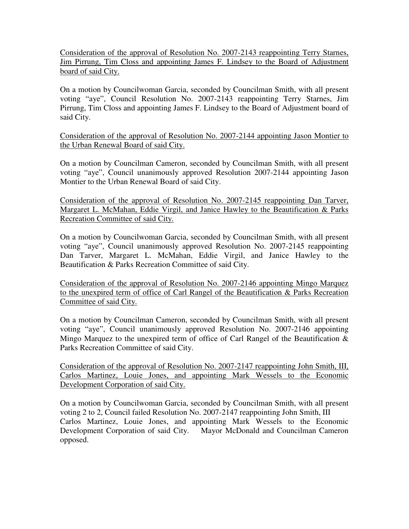Consideration of the approval of Resolution No. 2007-2143 reappointing Terry Starnes, Jim Pirrung, Tim Closs and appointing James F. Lindsey to the Board of Adjustment board of said City.

On a motion by Councilwoman Garcia, seconded by Councilman Smith, with all present voting "aye", Council Resolution No. 2007-2143 reappointing Terry Starnes, Jim Pirrung, Tim Closs and appointing James F. Lindsey to the Board of Adjustment board of said City.

Consideration of the approval of Resolution No. 2007-2144 appointing Jason Montier to the Urban Renewal Board of said City.

On a motion by Councilman Cameron, seconded by Councilman Smith, with all present voting "aye", Council unanimously approved Resolution 2007-2144 appointing Jason Montier to the Urban Renewal Board of said City.

Consideration of the approval of Resolution No. 2007-2145 reappointing Dan Tarver, Margaret L. McMahan, Eddie Virgil, and Janice Hawley to the Beautification & Parks Recreation Committee of said City.

On a motion by Councilwoman Garcia, seconded by Councilman Smith, with all present voting "aye", Council unanimously approved Resolution No. 2007-2145 reappointing Dan Tarver, Margaret L. McMahan, Eddie Virgil, and Janice Hawley to the Beautification & Parks Recreation Committee of said City.

Consideration of the approval of Resolution No. 2007-2146 appointing Mingo Marquez to the unexpired term of office of Carl Rangel of the Beautification & Parks Recreation Committee of said City.

On a motion by Councilman Cameron, seconded by Councilman Smith, with all present voting "aye", Council unanimously approved Resolution No. 2007-2146 appointing Mingo Marquez to the unexpired term of office of Carl Rangel of the Beautification & Parks Recreation Committee of said City.

Consideration of the approval of Resolution No. 2007-2147 reappointing John Smith, III, Carlos Martinez, Louie Jones, and appointing Mark Wessels to the Economic Development Corporation of said City.

On a motion by Councilwoman Garcia, seconded by Councilman Smith, with all present voting 2 to 2, Council failed Resolution No. 2007-2147 reappointing John Smith, III Carlos Martinez, Louie Jones, and appointing Mark Wessels to the Economic Development Corporation of said City. Mayor McDonald and Councilman Cameron opposed.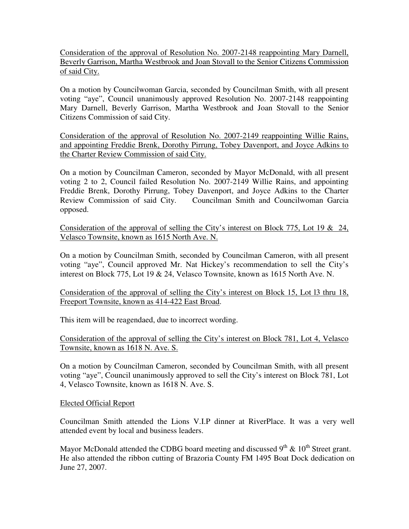Consideration of the approval of Resolution No. 2007-2148 reappointing Mary Darnell, Beverly Garrison, Martha Westbrook and Joan Stovall to the Senior Citizens Commission of said City.

On a motion by Councilwoman Garcia, seconded by Councilman Smith, with all present voting "aye", Council unanimously approved Resolution No. 2007-2148 reappointing Mary Darnell, Beverly Garrison, Martha Westbrook and Joan Stovall to the Senior Citizens Commission of said City.

Consideration of the approval of Resolution No. 2007-2149 reappointing Willie Rains, and appointing Freddie Brenk, Dorothy Pirrung, Tobey Davenport, and Joyce Adkins to the Charter Review Commission of said City.

On a motion by Councilman Cameron, seconded by Mayor McDonald, with all present voting 2 to 2, Council failed Resolution No. 2007-2149 Willie Rains, and appointing Freddie Brenk, Dorothy Pirrung, Tobey Davenport, and Joyce Adkins to the Charter Review Commission of said City. Councilman Smith and Councilwoman Garcia opposed.

Consideration of the approval of selling the City's interest on Block 775, Lot 19 & 24, Velasco Townsite, known as 1615 North Ave. N.

On a motion by Councilman Smith, seconded by Councilman Cameron, with all present voting "aye", Council approved Mr. Nat Hickey's recommendation to sell the City's interest on Block 775, Lot 19 & 24, Velasco Townsite, known as 1615 North Ave. N.

Consideration of the approval of selling the City's interest on Block 15, Lot l3 thru 18, Freeport Townsite, known as 414-422 East Broad.

This item will be reagendaed, due to incorrect wording.

Consideration of the approval of selling the City's interest on Block 781, Lot 4, Velasco Townsite, known as 1618 N. Ave. S.

On a motion by Councilman Cameron, seconded by Councilman Smith, with all present voting "aye", Council unanimously approved to sell the City's interest on Block 781, Lot 4, Velasco Townsite, known as 1618 N. Ave. S.

## Elected Official Report

Councilman Smith attended the Lions V.I.P dinner at RiverPlace. It was a very well attended event by local and business leaders.

Mayor McDonald attended the CDBG board meeting and discussed  $9^{th}$  &  $10^{th}$  Street grant. He also attended the ribbon cutting of Brazoria County FM 1495 Boat Dock dedication on June 27, 2007.